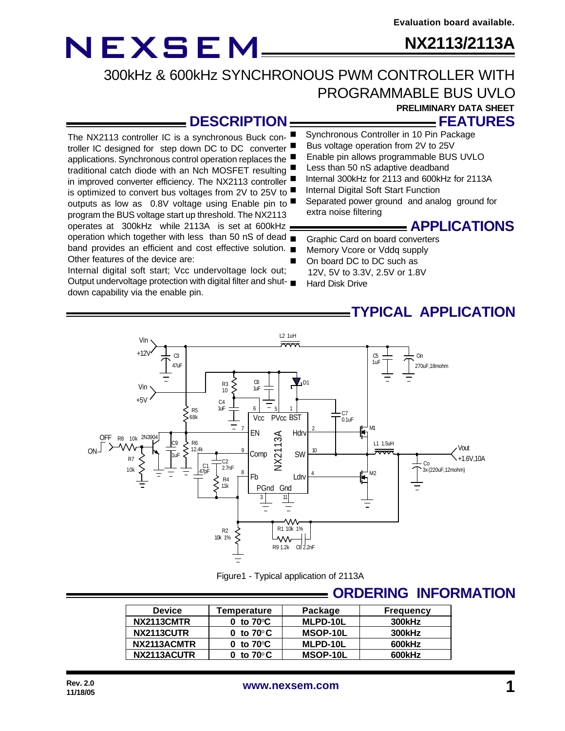### **NX2113/2113A**

### 300kHz & 600kHz SYNCHRONOUS PWM CONTROLLER WITH PROGRAMMABLE BUS UVLO

### **PRELIMINARY DATA SHEET**

#### **DESCRIPTION**

The NX2113 controller IC is a synchronous Buck controller IC designed for step down DC to DC converter applications. Synchronous control operation replaces the traditional catch diode with an Nch MOSFET resulting in improved converter efficiency. The NX2113 controller is optimized to convert bus voltages from 2V to 25V to outputs as low as 0.8V voltage using Enable pin to program the BUS voltage start up threshold. The NX2113 operates at 300kHz while 2113A is set at 600kHz operation which together with less than 50 nS of dead  $\blacksquare$ band provides an efficient and cost effective solution. Other features of the device are:

Internal digital soft start; Vcc undervoltage lock out; Output undervoltage protection with digital filter and shutdown capability via the enable pin.

### **FEATURES**

- Synchronous Controller in 10 Pin Package Bus voltage operation from 2V to 25V
- Enable pin allows programmable BUS UVLO
- Less than 50 nS adaptive deadband
- Internal 300kHz for 2113 and 600kHz for 2113A
- Internal Digital Soft Start Function
	- Separated power ground and analog ground for extra noise filtering

### **APPLICATIONS**

- Graphic Card on board converters
- Memory Vcore or Vddq supply
- On board DC to DC such as
- 12V, 5V to 3.3V, 2.5V or 1.8V
- Hard Disk Drive

### **TYPICAL APPLICATION**



Figure1 - Typical application of 2113A

### **ORDERING INFORMATION**

| <b>Device</b> | Temperature          | Package  | <b>Frequency</b> |
|---------------|----------------------|----------|------------------|
| NX2113CMTR    | 0 to 70 $\mathrm{C}$ | MLPD-10L | 300kHz           |
| NX2113CUTR    | 0 to $70^{\circ}$ C  | MSOP-10L | <b>300kHz</b>    |
| NX2113ACMTR   | 0 to $70^{\circ}$ C  | MLPD-10L | 600kHz           |
| NX2113ACUTR   | 0 to 70°C $\,$       | MSOP-10L | 600kHz           |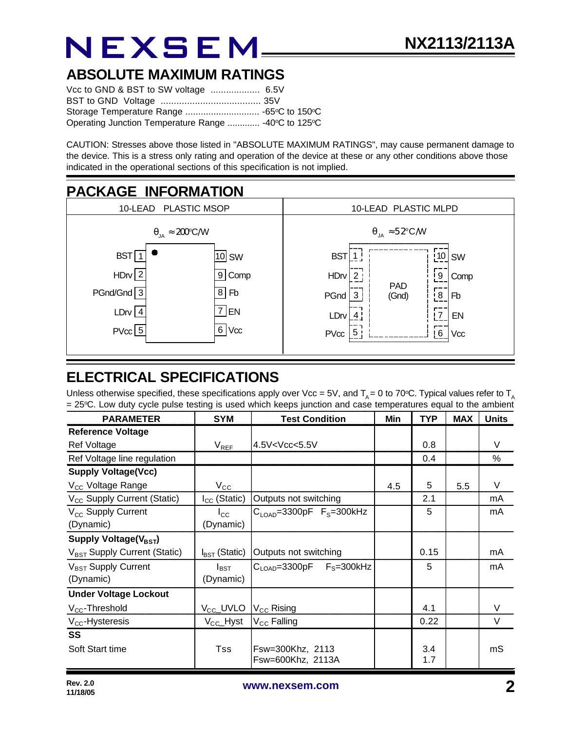### **ABSOLUTE MAXIMUM RATINGS**

| Operating Junction Temperature Range  -40°C to 125°C |  |
|------------------------------------------------------|--|

CAUTION: Stresses above those listed in "ABSOLUTE MAXIMUM RATINGS", may cause permanent damage to the device. This is a stress only rating and operation of the device at these or any other conditions above those indicated in the operational sections of this specification is not implied.



### **ELECTRICAL SPECIFICATIONS**

Unless otherwise specified, these specifications apply over Vcc = 5V, and  $T_A$  = 0 to 70°C. Typical values refer to  $T_A$ = 25oC. Low duty cycle pulse testing is used which keeps junction and case temperatures equal to the ambient

| <b>PARAMETER</b>                         | <b>SYM</b>                | <b>Test Condition</b>                                                      | Min | <b>TYP</b> | <b>MAX</b> | <b>Units</b> |
|------------------------------------------|---------------------------|----------------------------------------------------------------------------|-----|------------|------------|--------------|
| <b>Reference Voltage</b>                 |                           |                                                                            |     |            |            |              |
| <b>Ref Voltage</b>                       | $V_{REF}$                 | 4.5V <vcc<5.5v< td=""><td></td><td>0.8</td><td></td><td>V</td></vcc<5.5v<> |     | 0.8        |            | V            |
| Ref Voltage line regulation              |                           |                                                                            |     | 0.4        |            | %            |
| <b>Supply Voltage(Vcc)</b>               |                           |                                                                            |     |            |            |              |
| V <sub>CC</sub> Voltage Range            | $V_{\rm CC}$              |                                                                            | 4.5 | 5          | 5.5        | V            |
| V <sub>CC</sub> Supply Current (Static)  | $I_{CC}$ (Static)         | Outputs not switching                                                      |     | 2.1        |            | mA           |
| $V_{CC}$ Supply Current                  | $I_{\rm CC}$              | $CLOAD=3300pF FS=300kHz$                                                   |     | 5          |            | mA           |
| (Dynamic)                                | (Dynamic)                 |                                                                            |     |            |            |              |
| Supply Voltage( $V_{\text{BST}}$ )       |                           |                                                                            |     |            |            |              |
| V <sub>BST</sub> Supply Current (Static) | $I_{\text{BST}}$ (Static) | Outputs not switching                                                      |     | 0.15       |            | mA           |
| V <sub>BST</sub> Supply Current          | $I_{\text{BST}}$          | $C_{\text{LOAD}} = 3300pF$ $F_S = 300kHz$                                  |     | 5          |            | mA           |
| (Dynamic)                                | (Dynamic)                 |                                                                            |     |            |            |              |
| <b>Under Voltage Lockout</b>             |                           |                                                                            |     |            |            |              |
| $V_{CC}$ -Threshold                      | V <sub>CC</sub> _UVLO     | $ V_{CC} $ Rising                                                          |     | 4.1        |            | V            |
| $V_{CC}$ -Hysteresis                     | $V_{\text{CC}}$ Hyst      | $V_{\text{CC}}$ Falling                                                    |     | 0.22       |            | $\vee$       |
| <b>SS</b>                                |                           |                                                                            |     |            |            |              |
| Soft Start time                          | <b>Tss</b>                | Fsw=300Khz, 2113                                                           |     | 3.4        |            | mS           |
|                                          |                           | Fsw=600Khz, 2113A                                                          |     | 1.7        |            |              |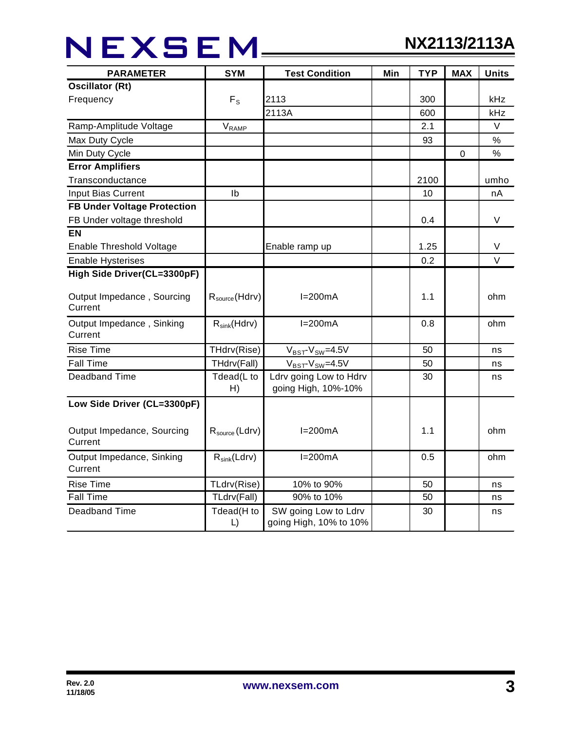## NEXSEM\_\_\_

| <b>SYM</b><br><b>PARAMETER</b><br><b>Test Condition</b> |                           | Min                                            | <b>TYP</b> | <b>MAX</b> | <b>Units</b>     |        |
|---------------------------------------------------------|---------------------------|------------------------------------------------|------------|------------|------------------|--------|
| <b>Oscillator (Rt)</b>                                  |                           |                                                |            |            |                  |        |
| Frequency                                               | $F_{\rm S}$               | 2113                                           |            | 300        |                  | kHz    |
|                                                         |                           | 2113A                                          |            | 600        |                  | kHz    |
| Ramp-Amplitude Voltage                                  | $V_{\text{RAMP}}$         |                                                |            | 2.1        |                  | $\vee$ |
| Max Duty Cycle                                          |                           |                                                |            | 93         |                  | %      |
| Min Duty Cycle                                          |                           |                                                |            |            | $\boldsymbol{0}$ | $\%$   |
| <b>Error Amplifiers</b>                                 |                           |                                                |            |            |                  |        |
| Transconductance                                        |                           |                                                |            | 2100       |                  | umho   |
| <b>Input Bias Current</b>                               | Ib                        |                                                |            | 10         |                  | nA     |
| <b>FB Under Voltage Protection</b>                      |                           |                                                |            |            |                  |        |
| FB Under voltage threshold                              |                           |                                                |            | 0.4        |                  | V      |
| EN                                                      |                           |                                                |            |            |                  |        |
| Enable Threshold Voltage                                |                           | Enable ramp up                                 |            | 1.25       |                  | V      |
| <b>Enable Hysterises</b>                                |                           |                                                |            | 0.2        |                  | $\vee$ |
| High Side Driver(CL=3300pF)                             |                           |                                                |            |            |                  |        |
| Output Impedance, Sourcing<br>Current                   | $R_{\text{source}}(Hdrv)$ | $I=200mA$                                      |            | 1.1        |                  | ohm    |
| Output Impedance, Sinking<br>Current                    | $R_{sink}(Hdrv)$          | $I=200mA$                                      |            | 0.8        |                  | ohm    |
| <b>Rise Time</b>                                        | THdrv(Rise)               | $V_{BST}$ - $V_{SW}$ =4.5V                     |            | 50         |                  | ns     |
| <b>Fall Time</b>                                        | THdrv(Fall)               | $V_{BST}$ - $V_{SW}$ =4.5V                     |            | 50         |                  | ns     |
| <b>Deadband Time</b>                                    | Tdead(L to<br>H)          | Ldrv going Low to Hdrv<br>going High, 10%-10%  |            | 30         |                  | ns     |
| Low Side Driver (CL=3300pF)                             |                           |                                                |            |            |                  |        |
| Output Impedance, Sourcing<br>Current                   | $R_{\text{source}}(Ldrv)$ | $I=200mA$                                      |            | 1.1        |                  | ohm    |
| Output Impedance, Sinking<br>Current                    | $R_{sink}(Ldrv)$          | $I=200mA$                                      |            | 0.5        |                  | ohm    |
| <b>Rise Time</b>                                        | TLdrv(Rise)               | 10% to 90%                                     |            | 50         |                  | ns     |
| <b>Fall Time</b>                                        | TLdrv(Fall)               | 90% to 10%                                     |            | 50         |                  | ns     |
| <b>Deadband Time</b>                                    | Tdead(H to<br>L)          | SW going Low to Ldrv<br>going High, 10% to 10% |            | 30         |                  | ns     |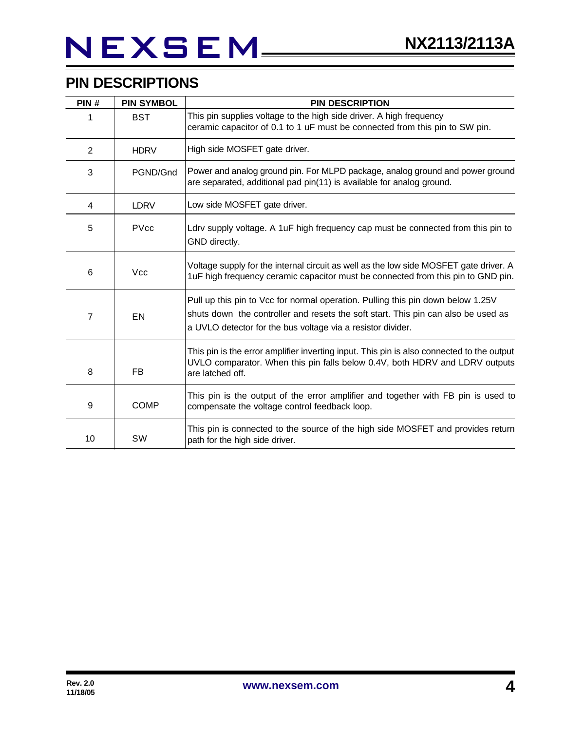## NEXSEM\_\_

### **PIN DESCRIPTIONS**

| PIN# | <b>PIN SYMBOL</b> | <b>PIN DESCRIPTION</b>                                                                                                                                                                                                              |  |  |
|------|-------------------|-------------------------------------------------------------------------------------------------------------------------------------------------------------------------------------------------------------------------------------|--|--|
| 1    | <b>BST</b>        | This pin supplies voltage to the high side driver. A high frequency<br>ceramic capacitor of 0.1 to 1 uF must be connected from this pin to SW pin.                                                                                  |  |  |
| 2    | <b>HDRV</b>       | High side MOSFET gate driver.                                                                                                                                                                                                       |  |  |
| 3    | PGND/Gnd          | Power and analog ground pin. For MLPD package, analog ground and power ground<br>are separated, additional pad pin(11) is available for analog ground.                                                                              |  |  |
| 4    | <b>LDRV</b>       | Low side MOSFET gate driver.                                                                                                                                                                                                        |  |  |
| 5    | <b>PVcc</b>       | Ldrv supply voltage. A 1uF high frequency cap must be connected from this pin to<br>GND directly.                                                                                                                                   |  |  |
| 6    | <b>Vcc</b>        | Voltage supply for the internal circuit as well as the low side MOSFET gate driver. A<br>1uF high frequency ceramic capacitor must be connected from this pin to GND pin.                                                           |  |  |
| 7    | EN                | Pull up this pin to Vcc for normal operation. Pulling this pin down below 1.25V<br>shuts down the controller and resets the soft start. This pin can also be used as<br>a UVLO detector for the bus voltage via a resistor divider. |  |  |
| 8    | FB                | This pin is the error amplifier inverting input. This pin is also connected to the output<br>UVLO comparator. When this pin falls below 0.4V, both HDRV and LDRV outputs<br>are latched off.                                        |  |  |
| 9    | <b>COMP</b>       | This pin is the output of the error amplifier and together with FB pin is used to<br>compensate the voltage control feedback loop.                                                                                                  |  |  |
| 10   | SW                | This pin is connected to the source of the high side MOSFET and provides return<br>path for the high side driver.                                                                                                                   |  |  |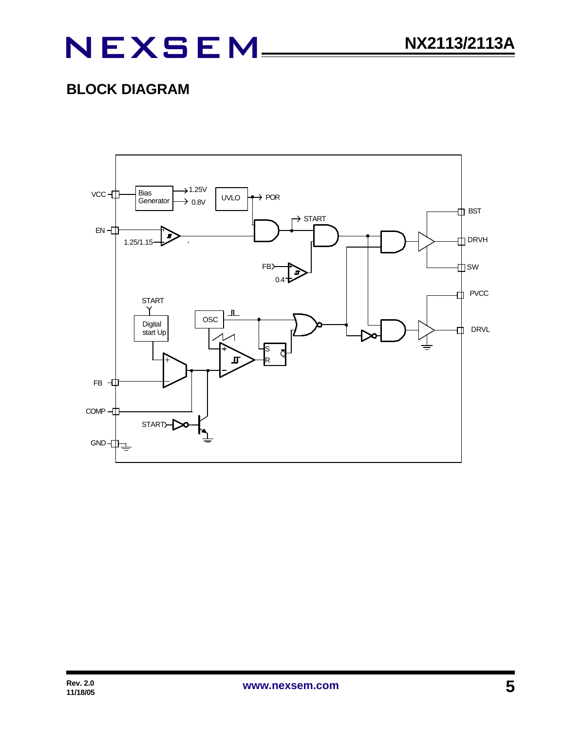### **BLOCK DIAGRAM**

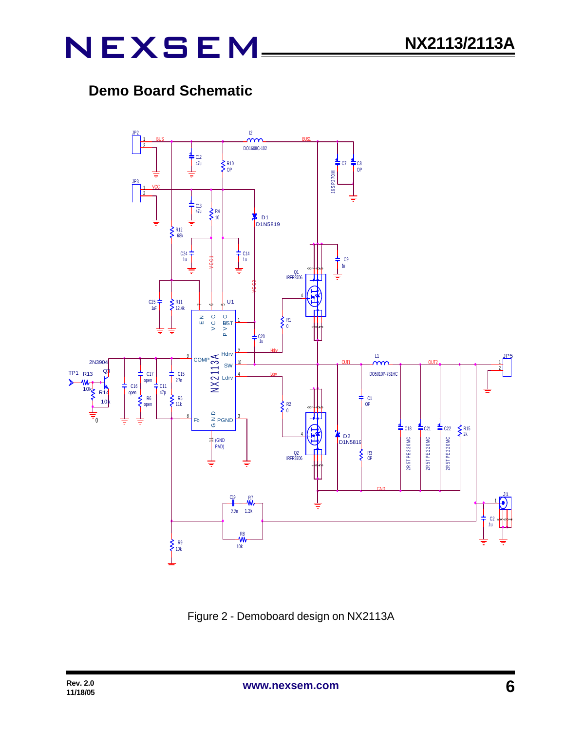### **Demo Board Schematic**



Figure 2 - Demoboard design on NX2113A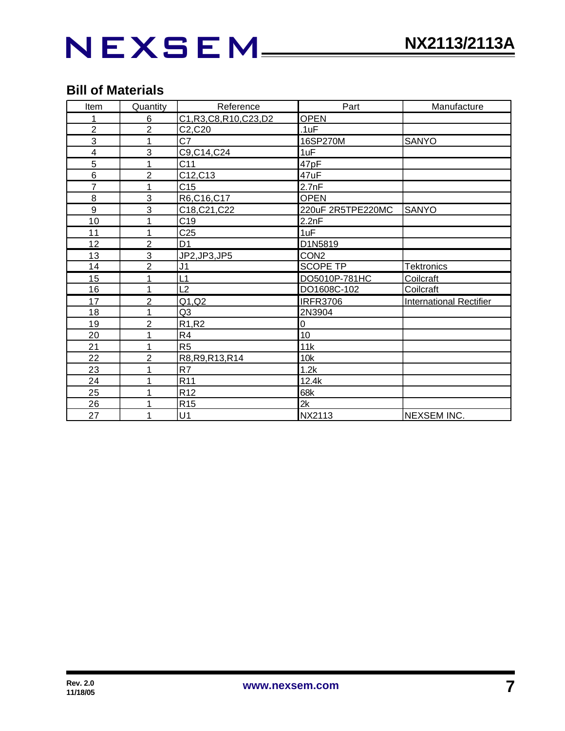## NEXSEM\_\_\_

### **Bill of Materials**

| Item           | Quantity       | Reference                      | Part              | Manufacture                    |  |  |
|----------------|----------------|--------------------------------|-------------------|--------------------------------|--|--|
| 1              | 6              | C1, R3, C8, R10, C23, D2       | <b>OPEN</b>       |                                |  |  |
| $\overline{2}$ | $\overline{2}$ | C2,C20                         | .1uF              |                                |  |  |
| 3              | 1              | C7                             | 16SP270M          | <b>SANYO</b>                   |  |  |
| 4              | 3              | C9, C14, C24                   | 1uF               |                                |  |  |
| 5              | 1              | C11                            | 47pF              |                                |  |  |
| 6              | $\overline{2}$ | C12, C13                       | 47uF              |                                |  |  |
| 7              | 1              | C15                            | 2.7nF             |                                |  |  |
| 8              | 3              | R6,C16,C17                     | <b>OPEN</b>       |                                |  |  |
| 9              | 3              | C18, C21, C22                  | 220uF 2R5TPE220MC | <b>SANYO</b>                   |  |  |
| 10             | 1              | C <sub>19</sub>                | 2.2nF             |                                |  |  |
| 11             | 1              | C <sub>25</sub>                | 1uF               |                                |  |  |
| 12             | $\overline{2}$ | D <sub>1</sub>                 | D1N5819           |                                |  |  |
| 13             | 3              | JP2, JP3, JP5                  | CON <sub>2</sub>  |                                |  |  |
| 14             | $\overline{2}$ | J <sub>1</sub>                 | <b>SCOPE TP</b>   | <b>Tektronics</b>              |  |  |
| 15             | 1              | L1                             | DO5010P-781HC     | Coilcraft                      |  |  |
| 16             | 1              | L2                             | DO1608C-102       | Coilcraft                      |  |  |
| 17             | $\overline{2}$ | Q1, Q2                         | <b>IRFR3706</b>   | <b>International Rectifier</b> |  |  |
| 18             | 1              | Q <sub>3</sub>                 | 2N3904            |                                |  |  |
| 19             | $\overline{c}$ | R <sub>1</sub> ,R <sub>2</sub> | $\mathbf 0$       |                                |  |  |
| 20             | 1              | R4                             | 10                |                                |  |  |
| 21             | 1              | R <sub>5</sub>                 | 11k               |                                |  |  |
| 22             | $\overline{2}$ | R8, R9, R13, R14               | 10k               |                                |  |  |
| 23             | 1              | R7                             | 1.2k              |                                |  |  |
| 24             | 1              | R <sub>11</sub>                | 12.4k             |                                |  |  |
| 25             | 1              | R <sub>12</sub>                | 68k               |                                |  |  |
| 26             | 1              | R <sub>15</sub>                | 2k                |                                |  |  |
| 27             | 1              | U1                             | NX2113            | NEXSEM INC.                    |  |  |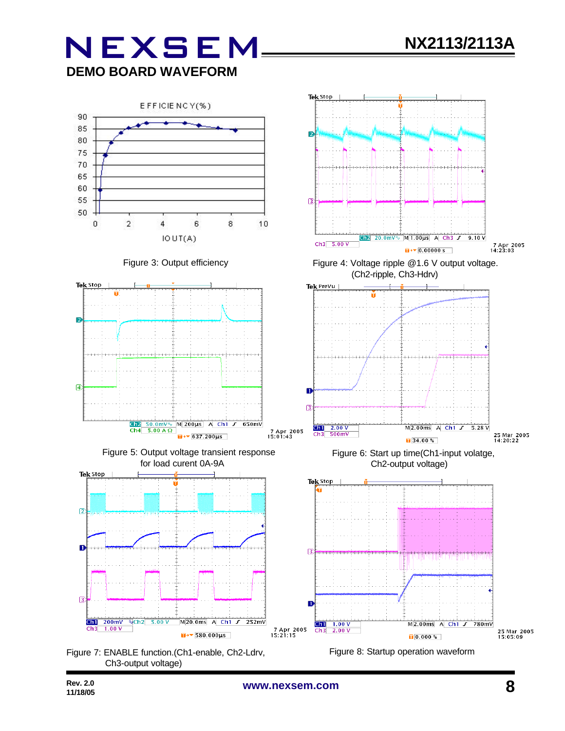## **NEXSEM DEMO BOARD WAVEFORM**



Ch3-output voltage)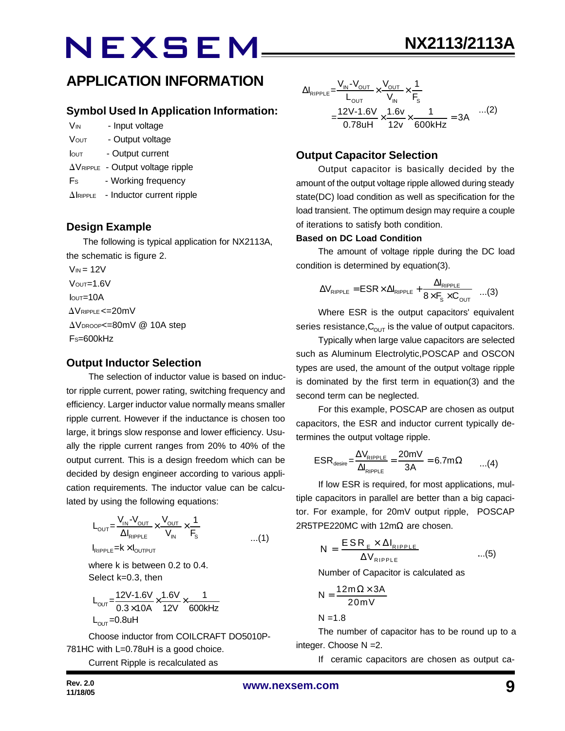### **APPLICATION INFORMATION**

#### **Symbol Used In Application Information:**

- V<sub>IN</sub> Input voltage
- VOUT Output voltage
- Iout Output current
- $\Delta V_{\text{RIPPLE}}$  Output voltage ripple
- Fs Working frequency
- $\Delta$ IRIPPLE Inductor current ripple

#### **Design Example**

 The following is typical application for NX2113A, the schematic is figure 2.  $V_{IN}$  = 12V

 $V$ <sub>OUT</sub>=1.6V  $I<sub>OUT</sub>=10A$  $\Delta$ VRIPPLE <=20mV  $\Delta V_{\text{DROOP}} = 80$ mV @ 10A step FS=600kHz

#### **Output Inductor Selection**

The selection of inductor value is based on inductor ripple current, power rating, switching frequency and efficiency. Larger inductor value normally means smaller ripple current. However if the inductance is chosen too large, it brings slow response and lower efficiency. Usually the ripple current ranges from 20% to 40% of the output current. This is a design freedom which can be decided by design engineer according to various application requirements. The inductor value can be calculated by using the following equations:

$$
L_{\text{OUT}} = \frac{V_{\text{IN}} - V_{\text{OUT}}}{\Delta I_{\text{RIPPLE}}} \times \frac{V_{\text{OUT}}}{V_{\text{IN}}} \times \frac{1}{F_{\text{S}}}
$$
...(1)

where k is between 0.2 to 0.4.

Select k=0.3, then

$$
L_{\text{OUT}} = \frac{12V - 1.6V}{0.3 \times 10A} \times \frac{1.6V}{12V} \times \frac{1}{600kHz}
$$
  
L\_{\text{OUT}} = 0.8uH

Choose inductor from COILCRAFT DO5010P-781HC with L=0.78uH is a good choice.

Current Ripple is recalculated as

$$
\Delta I_{\text{RIPPLE}} = \frac{V_{\text{IN}} - V_{\text{OUT}}}{L_{\text{OUT}}} \times \frac{V_{\text{OUT}}}{V_{\text{IN}}} \times \frac{1}{F_s}
$$
  
= 
$$
\frac{12V - 1.6V}{0.78uH} \times \frac{1.6v}{12v} \times \frac{1}{600kHz} = 3A
$$
...(2)

#### **Output Capacitor Selection**

Output capacitor is basically decided by the amount of the output voltage ripple allowed during steady state(DC) load condition as well as specification for the load transient. The optimum design may require a couple of iterations to satisfy both condition.

#### **Based on DC Load Condition**

The amount of voltage ripple during the DC load condition is determined by equation(3).

$$
\Delta V_{\text{RIPPLE}} = \text{ESR} \times \Delta I_{\text{RIPPLE}} + \frac{\Delta I_{\text{RIPPLE}}}{8 \times F_{\text{s}} \times C_{\text{OUT}}} \quad ...(3)
$$

Where ESR is the output capacitors' equivalent series resistance,  $C_{\text{OUT}}$  is the value of output capacitors.

Typically when large value capacitors are selected such as Aluminum Electrolytic,POSCAP and OSCON types are used, the amount of the output voltage ripple is dominated by the first term in equation(3) and the second term can be neglected.

For this example, POSCAP are chosen as output capacitors, the ESR and inductor current typically determines the output voltage ripple.

$$
ESR_{\text{desire}} = \frac{\Delta V_{\text{RIPPLE}}}{\Delta I_{\text{RIPPLE}}} = \frac{20 \text{mV}}{3 \text{A}} = 6.7 \text{m}\Omega \qquad ...(4)
$$

If low ESR is required, for most applications, multiple capacitors in parallel are better than a big capacitor. For example, for 20mV output ripple, POSCAP 2R5TPE220MC with 12mΩ are chosen.

$$
N = \frac{ESR_{E} \times \Delta I_{RIPPLE}}{\Delta V_{RIPPLE}} \qquad ...(5)
$$

Number of Capacitor is calculated as

$$
N = \frac{12m\Omega \times 3A}{20mV}
$$

 $N = 1.8$ 

The number of capacitor has to be round up to a integer. Choose N =2.

If ceramic capacitors are chosen as output ca-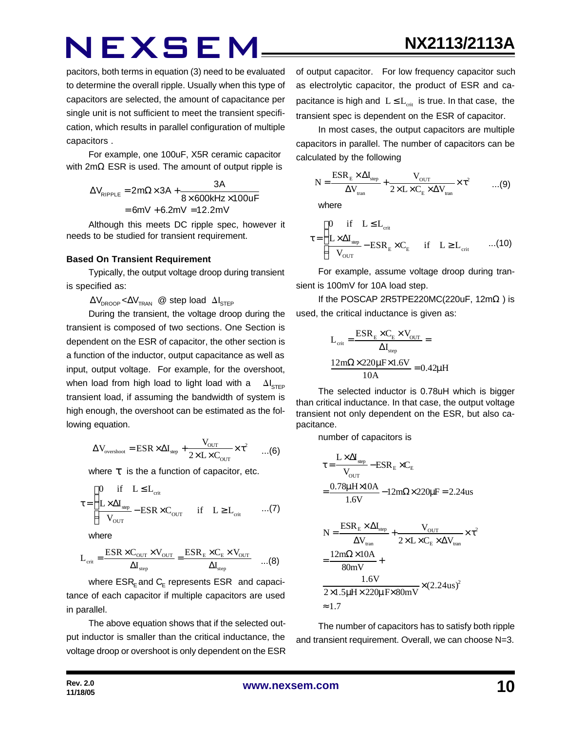**NX2113/2113A**

pacitors, both terms in equation (3) need to be evaluated to determine the overall ripple. Usually when this type of capacitors are selected, the amount of capacitance per single unit is not sufficient to meet the transient specification, which results in parallel configuration of multiple capacitors .

For example, one 100uF, X5R ceramic capacitor with 2mΩ ESR is used. The amount of output ripple is

$$
\Delta V_{RIPPLE} = 2m\Omega \times 3A + \frac{3A}{8 \times 600kHz \times 100uF}
$$

$$
= 6mV + 6.2mV = 12.2mV
$$

Although this meets DC ripple spec, however it needs to be studied for transient requirement.

#### **Based On Transient Requirement**

Typically, the output voltage droop during transient is specified as:

 $\Delta V_{\text{DROOP}} < \Delta V_{\text{TRAN}}$  @ step load  $\Delta I_{\text{STFP}}$ 

During the transient, the voltage droop during the transient is composed of two sections. One Section is dependent on the ESR of capacitor, the other section is a function of the inductor, output capacitance as well as input, output voltage. For example, for the overshoot, when load from high load to light load with a  $\Delta I_{\text{STEP}}$ transient load, if assuming the bandwidth of system is high enough, the overshoot can be estimated as the following equation.

$$
\Delta V_{\text{overshoot}} = \text{ESR} \times \Delta I_{\text{step}} + \frac{V_{\text{OUT}}}{2 \times L \times C_{\text{OUT}}} \times \tau^2 \qquad ...(6)
$$

where *t* is the a function of capacitor, etc.

$$
\tau = \begin{cases}\n0 & \text{if} \quad L \leq L_{\text{crit}} \\
\frac{L \times \Delta I_{\text{step}}}{V_{\text{OUT}}} - \text{ESR} \times C_{\text{OUT}} & \text{if} \quad L \geq L_{\text{crit}} \quad \dots (7)\n\end{cases}
$$

where

$$
L_{\rm crit} = \frac{\rm ESR \times C_{\rm OUT} \times V_{\rm OUT}}{\Delta I_{\rm step}} = \frac{\rm ESR_E \times C_E \times V_{\rm OUT}}{\Delta I_{\rm step}} \quad \dots (8)
$$

where  $\mathsf{ESR}_\mathsf{E}$  and  $\mathsf{C}_\mathsf{E}$  represents  $\mathsf{ESR}\;$  and capacitance of each capacitor if multiple capacitors are used in parallel.

The above equation shows that if the selected output inductor is smaller than the critical inductance, the voltage droop or overshoot is only dependent on the ESR of output capacitor. For low frequency capacitor such as electrolytic capacitor, the product of ESR and capacitance is high and  $L \le L_{crit}$  is true. In that case, the transient spec is dependent on the ESR of capacitor.

In most cases, the output capacitors are multiple capacitors in parallel. The number of capacitors can be calculated by the following

$$
N = \frac{ESR_{E} \times \Delta I_{step}}{\Delta V_{tran}} + \frac{V_{OUT}}{2 \times L \times C_{E} \times \Delta V_{tran}} \times \tau^{2}
$$
 ...(9)

where

$$
\tau = \begin{cases}\n0 & \text{if} \quad L \leq L_{\text{crit}} \\
\frac{L \times \Delta I_{\text{step}}}{V_{\text{OUT}}} - \text{ESR}_{\text{E}} \times C_{\text{E}} & \text{if} \quad L \geq L_{\text{crit}} \quad ...(10)\n\end{cases}
$$

For example, assume voltage droop during transient is 100mV for 10A load step.

If the POSCAP 2R5TPE220MC(220uF, 12m $\Omega$ ) is used, the critical inductance is given as:

$$
L_{crit} = \frac{ESR_{E} \times C_{E} \times V_{OUT}}{\Delta I_{step}} =
$$

$$
\frac{12m\Omega \times 220\mu F \times 1.6V}{10A} = 0.42\mu H
$$

The selected inductor is 0.78uH which is bigger than critical inductance. In that case, the output voltage transient not only dependent on the ESR, but also capacitance.

number of capacitors is

$$
\tau = \frac{L \times \Delta I_{\text{step}}}{V_{\text{OUT}}} - ESR_E \times C_E
$$
\n
$$
= \frac{0.78 \mu H \times 10A}{1.6 V} - 12 m\Omega \times 220 \mu F = 2.24 us
$$
\n
$$
N = \frac{ESR_E \times \Delta I_{\text{step}}}{\Delta V_{\text{tran}}} + \frac{V_{\text{OUT}}}{2 \times L \times C_E \times \Delta V_{\text{tran}}} \times \tau^2
$$
\n
$$
= \frac{12 m\Omega \times 10A}{80 mV} + \frac{1.6 V}{2 \times 1.5 \mu H \times 220 \mu F \times 80 mV} \times (2.24 us)^2
$$
\n
$$
\approx 1.7
$$

The number of capacitors has to satisfy both ripple and transient requirement. Overall, we can choose N=3.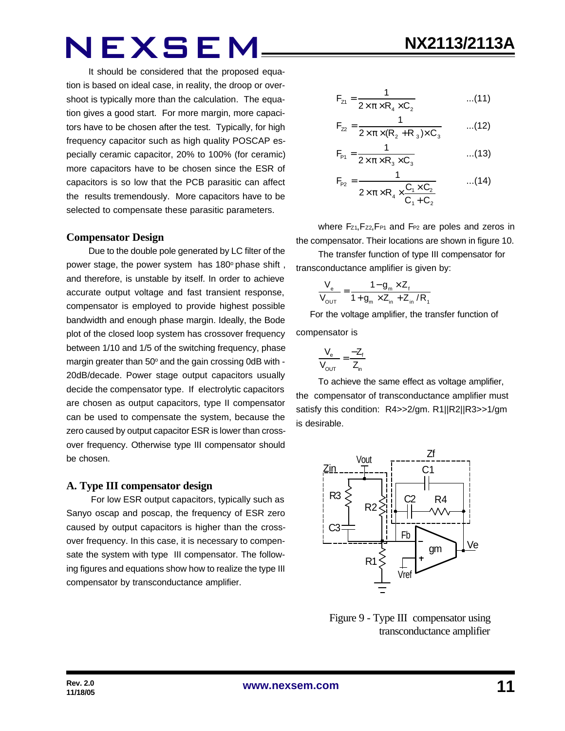It should be considered that the proposed equation is based on ideal case, in reality, the droop or overshoot is typically more than the calculation. The equation gives a good start. For more margin, more capacitors have to be chosen after the test. Typically, for high frequency capacitor such as high quality POSCAP especially ceramic capacitor, 20% to 100% (for ceramic) more capacitors have to be chosen since the ESR of capacitors is so low that the PCB parasitic can affect the results tremendously. More capacitors have to be selected to compensate these parasitic parameters.

#### **Compensator Design**

Due to the double pole generated by LC filter of the power stage, the power system has 180° phase shift, and therefore, is unstable by itself. In order to achieve accurate output voltage and fast transient response, compensator is employed to provide highest possible bandwidth and enough phase margin. Ideally, the Bode plot of the closed loop system has crossover frequency between 1/10 and 1/5 of the switching frequency, phase margin greater than 50° and the gain crossing 0dB with -20dB/decade. Power stage output capacitors usually decide the compensator type. If electrolytic capacitors are chosen as output capacitors, type II compensator can be used to compensate the system, because the zero caused by output capacitor ESR is lower than crossover frequency. Otherwise type III compensator should be chosen.

#### **A. Type III compensator design**

 For low ESR output capacitors, typically such as Sanyo oscap and poscap, the frequency of ESR zero caused by output capacitors is higher than the crossover frequency. In this case, it is necessary to compensate the system with type III compensator. The following figures and equations show how to realize the type III compensator by transconductance amplifier.

$$
F_{z_1} = \frac{1}{2 \times \pi \times R_4 \times C_2}
$$
...(11)

$$
F_{22} = \frac{1}{2 \times \pi \times (R_2 + R_3) \times C_3}
$$
...(12)

$$
F_{\rm{P1}} = \frac{1}{2 \times \pi \times R_3 \times C_3}
$$
...(13)

$$
F_{P2} = \frac{1}{2 \times \pi \times R_4 \times \frac{C_1 \times C_2}{C_1 + C_2}} \qquad ...(14)
$$

where Fz<sub>1</sub>, Fz<sub>2</sub>, F<sub>P1</sub> and F<sub>P2</sub> are poles and zeros in the compensator. Their locations are shown in figure 10.

The transfer function of type III compensator for transconductance amplifier is given by:

$$
\frac{V_{e}}{V_{\text{OUT}}} = \frac{1 - g_{m} \times Z_{f}}{1 + g_{m} \times Z_{in} + Z_{in} / R_{f}}
$$

 For the voltage amplifier, the transfer function of compensator is

$$
\frac{V_e}{V_{OUT}} = \frac{-Z_f}{Z_{in}}
$$

To achieve the same effect as voltage amplifier, the compensator of transconductance amplifier must satisfy this condition: R4>>2/gm. R1||R2||R3>>1/gm is desirable.



 Figure 9 - Type III compensator using transconductance amplifier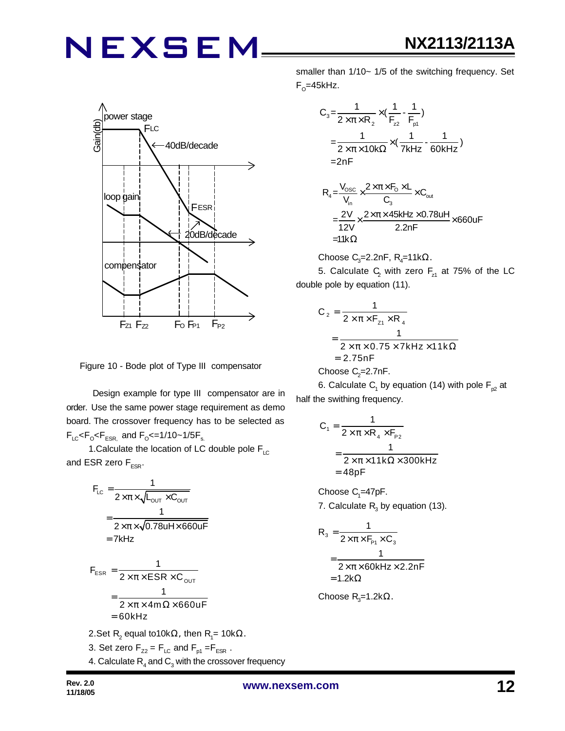

Figure 10 - Bode plot of Type III compensator

 Design example for type III compensator are in order. Use the same power stage requirement as demo board. The crossover frequency has to be selected as  $F_{LC}$ < $F_{\rm o}$ < $F_{ESR,}$  and  $F_{\rm o}$ <=1/10~1/5 $F_{\rm s.}$ 

1. Calculate the location of LC double pole  $F_{\text{LC}}$ and ESR zero  $F_{FSR}$ .

$$
F_{LC} = \frac{1}{2 \times \pi \times \sqrt{L_{OUT} \times C_{OUT}}}
$$
  
= 
$$
\frac{1}{2 \times \pi \times \sqrt{0.78 \text{uH} \times 660 \text{uF}}}
$$
  
= 7kHz

$$
F_{ESR} = \frac{1}{2 \times \pi \times ESR \times C_{OUT}}
$$
  
= 
$$
\frac{1}{2 \times \pi \times 4m \Omega \times 660 \text{UF}}
$$
  
= 
$$
60 \text{kHz}
$$

- 2.Set R<sub>2</sub> equal to10kΩ, then R<sub>1</sub>= 10kΩ. 3. Set zero  $F_{Z2} = F_{LC}$  and  $F_{p1} = F_{ESR}$ .
- 4. Calculate  $\mathsf{R}_{\scriptscriptstyle 4}$  and  $\mathsf{C}_{\scriptscriptstyle 3}$  with the crossover frequency

smaller than 1/10~ 1/5 of the switching frequency. Set F<sub>o</sub>=45kHz.

$$
C_3 = \frac{1}{2 \times \pi \times R_2} \times (\frac{1}{F_{22}} - \frac{1}{F_{p1}})
$$
  
=  $\frac{1}{2 \times \pi \times 10k\Omega} \times (\frac{1}{7kHz} - \frac{1}{60kHz})$   
= 2nF

$$
R_{4} = \frac{V_{\text{osc}}}{V_{\text{in}}} \times \frac{2 \times \pi \times F_{\text{O}} \times L}{C_{3}} \times C_{\text{out}}
$$
  
= 
$$
\frac{2V}{12V} \times \frac{2 \times \pi \times 45kHz \times 0.78uH}{2.2nF} \times 660uF
$$
  
= 11k $\Omega$ 

Choose C<sub>3</sub>=2.2nF, R<sub>4</sub>=11k
$$
\Omega
$$
.

5. Calculate  $C_2$  with zero  $F_{z1}$  at 75% of the LC double pole by equation (11).

$$
C_2 = \frac{1}{2 \times \pi \times F_{z1} \times R_4}
$$
  
= 
$$
\frac{1}{2 \times \pi \times 0.75 \times 7kHz \times 11k\Omega}
$$
  
= 2.75nF  
Choose C<sub>2</sub>=2.7nF.

6. Calculate  $\mathsf{C}_\mathsf{1}$  by equation (14) with pole  $\mathsf{F}_{\mathsf{p2}}$  at half the swithing frequency.

$$
C_1 = \frac{1}{2 \times \pi \times R_4 \times F_{P2}}
$$
  
= 
$$
\frac{1}{2 \times \pi \times 11k\Omega \times 300kHz}
$$
  
= 48pF

Choose  $C_1 = 47pF$ .

7. Calculate  $R_3$  by equation (13).

$$
R_3 = \frac{1}{2 \times \pi \times F_{P1} \times C_3}
$$
  
= 
$$
\frac{1}{2 \times \pi \times 60 \text{kHz} \times 2.2 \text{nF}}
$$
  
= 1.2k $\Omega$ 

Choose R<sub>3</sub>=1.2kΩ.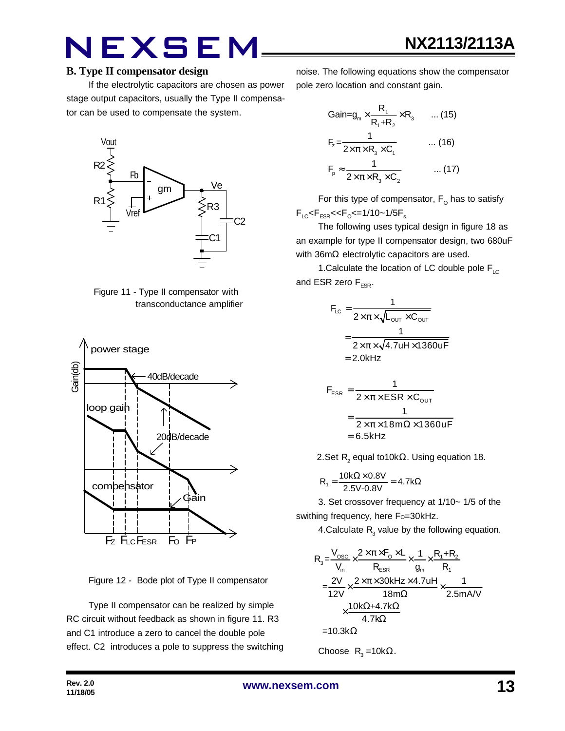#### **B. Type II compensator design**

If the electrolytic capacitors are chosen as power stage output capacitors, usually the Type II compensator can be used to compensate the system.







Figure 12 - Bode plot of Type II compensator

Type II compensator can be realized by simple RC circuit without feedback as shown in figure 11. R3 and C1 introduce a zero to cancel the double pole effect. C2 introduces a pole to suppress the switching **NX2113/2113A**

noise. The following equations show the compensator pole zero location and constant gain.

$$
Gain = g_m \times \frac{R_1}{R_1 + R_2} \times R_3 \qquad \dots (15)
$$
  
\n
$$
F_z = \frac{1}{2 \times \pi \times R_3 \times C_1} \qquad \dots (16)
$$
  
\n
$$
F_p \approx \frac{1}{2 \times \pi \times R_3 \times C_2} \qquad \dots (17)
$$

For this type of compensator,  $\mathsf{F}_\mathsf{O}$  has to satisfy  $F_{LC}$ < $F_{ESR}$ << $F_{O}$ <=1/10~1/5 $F_{s.}$ 

The following uses typical design in figure 18 as an example for type II compensator design, two 680uF with 36mΩ electrolytic capacitors are used.

1. Calculate the location of LC double pole  $F_{LC}$ and ESR zero  $F_{ESR}$ .

$$
F_{LC} = \frac{1}{2 \times \pi \times \sqrt{L_{OUT} \times C_{OUT}}}
$$

$$
= \frac{1}{2 \times \pi \times \sqrt{4.7uH \times 1360uF}}
$$

$$
= 2.0kHz
$$

$$
F_{ESR} = \frac{1}{2 \times \pi \times ESR \times C_{OUT}}
$$

$$
= \frac{1}{2 \times \pi \times 18m\Omega \times 1360uF}
$$

$$
= 6.5kHz
$$

2.Set  $\mathsf{R}_{2}$  equal to10k $\Omega$ . Using equation 18.

$$
R_1 = \frac{10k\Omega \times 0.8V}{2.5V - 0.8V} = 4.7k\Omega
$$

3. Set crossover frequency at 1/10~ 1/5 of the swithing frequency, here Fo=30kHz.

4.Calculate  $R_3$  value by the following equation.

$$
R_{3} = \frac{V_{\text{osc}}}{V_{\text{in}}} \times \frac{2 \times \pi \times F_{\text{O}} \times L}{R_{\text{ESR}}} \times \frac{1}{g_{\text{in}}} \times \frac{R_{1} + R_{2}}{R_{1}}
$$
\n
$$
= \frac{2V}{12V} \times \frac{2 \times \pi \times 30 \text{kHz} \times 4.7 \text{uH}}{18 \text{m}\Omega} \times \frac{1}{2.5 \text{mAV}}
$$
\n
$$
\times \frac{10 \text{k}\Omega + 4.7 \text{k}\Omega}{4.7 \text{k}\Omega}
$$
\n=10.3 k $\Omega$ 

Choose  $R_3 = 10k\Omega$ .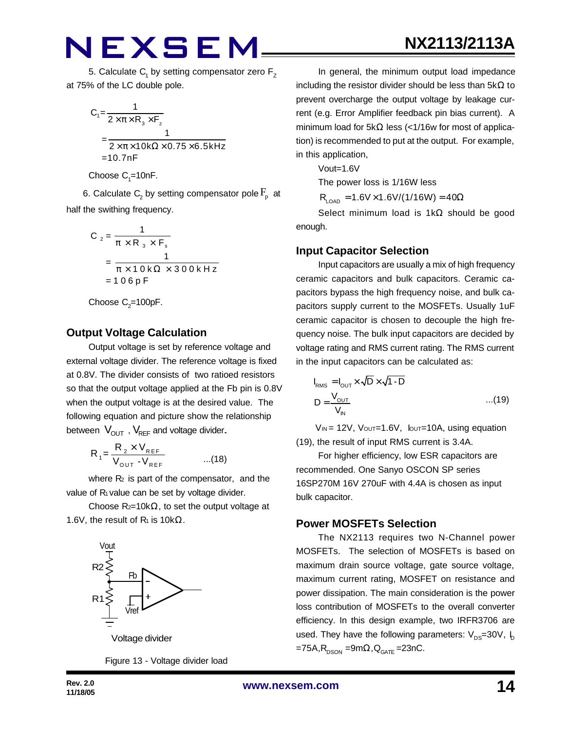5. Calculate  $\mathsf{C}_\mathsf{1}$  by setting compensator zero  $\mathsf{F}_\mathsf{Z}$ at 75% of the LC double pole.

$$
C_1 = \frac{1}{2 \times \pi \times R_3 \times F_z}
$$
  
= 
$$
\frac{1}{2 \times \pi \times 10k\Omega \times 0.75 \times 6.5kHz}
$$
  
= 10.7nF

Choose  $\mathrm{C}_1$ =10nF.

6. Calculate  $\mathsf{C}_2$  by setting compensator pole  $\mathrm{F}_{\mathrm{p}}^{\phantom{\dag}}$  at half the swithing frequency.

$$
C_2 = \frac{1}{\pi \times R_3 \times F_s}
$$
  
= 
$$
\frac{1}{\pi \times 10 \text{ k}\Omega \times 300 \text{ kHz}}
$$
  
= 106pF

Choose  $\mathrm{C}_2$ =100pF.

#### **Output Voltage Calculation**

Output voltage is set by reference voltage and external voltage divider. The reference voltage is fixed at 0.8V. The divider consists of two ratioed resistors so that the output voltage applied at the Fb pin is 0.8V when the output voltage is at the desired value. The following equation and picture show the relationship between  $V_{\text{OUT}}$ ,  $V_{\text{REF}}$  and voltage divider.

$$
R_{1} = \frac{R_{2} \times V_{REF}}{V_{OUT} - V_{REF}} \qquad ...(18)
$$

where  $R_2$  is part of the compensator, and the value of R<sub>1</sub> value can be set by voltage divider.

Choose  $R_{2}=10k\Omega$ , to set the output voltage at 1.6V, the result of  $R_1$  is 10k $\Omega$ .



Figure 13 - Voltage divider load

In general, the minimum output load impedance including the resistor divider should be less than  $5k\Omega$  to prevent overcharge the output voltage by leakage current (e.g. Error Amplifier feedback pin bias current). A minimum load for 5kΩ less (<1/16w for most of application) is recommended to put at the output. For example, in this application,

Vout=1.6V

The power loss is 1/16W less

 $R_{LOAD} = 1.6V \times 1.6V/(1/16W) = 40\Omega$ 

Select minimum load is 1kΩ should be good enough.

#### **Input Capacitor Selection**

Input capacitors are usually a mix of high frequency ceramic capacitors and bulk capacitors. Ceramic capacitors bypass the high frequency noise, and bulk capacitors supply current to the MOSFETs. Usually 1uF ceramic capacitor is chosen to decouple the high frequency noise. The bulk input capacitors are decided by voltage rating and RMS current rating. The RMS current in the input capacitors can be calculated as:

$$
I_{RMS} = I_{OUT} \times \sqrt{D} \times \sqrt{1 - D}
$$
  

$$
D = \frac{V_{OUT}}{V_{IN}} \qquad ...(19)
$$

 $V_{IN}$  = 12V,  $V_{OUT}=1.6V$ ,  $I_{OUT}=10A$ , using equation (19), the result of input RMS current is 3.4A.

For higher efficiency, low ESR capacitors are recommended. One Sanyo OSCON SP series 16SP270M 16V 270uF with 4.4A is chosen as input bulk capacitor.

#### **Power MOSFETs Selection**

The NX2113 requires two N-Channel power MOSFETs. The selection of MOSFETs is based on maximum drain source voltage, gate source voltage, maximum current rating, MOSFET on resistance and power dissipation. The main consideration is the power loss contribution of MOSFETs to the overall converter efficiency. In this design example, two IRFR3706 are used. They have the following parameters:  $V_{\text{DS}}=30V$ ,  $I_{\text{D}}$  $=75A$ , R<sub>DSON</sub> =9m $\Omega$ , Q<sub>GATE</sub> =23nC.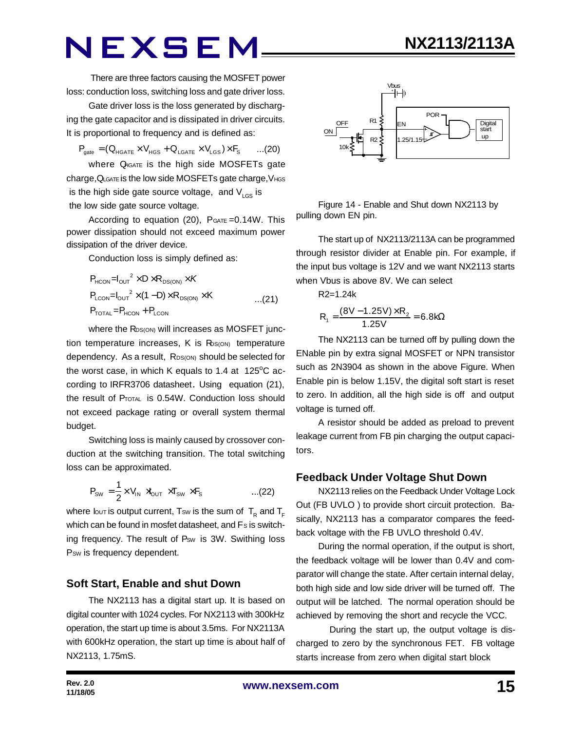There are three factors causing the MOSFET power loss: conduction loss, switching loss and gate driver loss.

Gate driver loss is the loss generated by discharging the gate capacitor and is dissipated in driver circuits. It is proportional to frequency and is defined as:

$$
\boldsymbol{P}_{\text{gate}} = (Q_{\text{HGATE}} \times V_{\text{HGS}} + Q_{\text{LGATE}} \times V_{\text{LGS}}) \times \boldsymbol{F}_{\text{S}} \qquad ... (20)
$$

where  $Q_{\text{IGATE}}$  is the high side MOSFETs gate charge, QLGATE is the low side MOSFETs gate charge, VHGS is the high side gate source voltage, and  $V_{\text{LGS}}$  is the low side gate source voltage.

According to equation  $(20)$ ,  $P_{GATE} = 0.14W$ . This power dissipation should not exceed maximum power dissipation of the driver device.

Conduction loss is simply defined as:

$$
P_{HCON} = I_{OUT}^2 \times D \times R_{DS(ON)} \times K
$$
  
\n
$$
P_{LCDN} = I_{OUT}^2 \times (1 - D) \times R_{DS(ON)} \times K
$$
...(21)  
\n
$$
P_{TOTAL} = P_{HCON} + P_{LCDN}
$$

where the RDS(ON) will increases as MOSFET junction temperature increases,  $K$  is  $R_{\text{DS(ON)}}$  temperature dependency. As a result, RDS(ON) should be selected for the worst case, in which K equals to 1.4 at  $125^{\circ}$ C according to IRFR3706 datasheet. Using equation (21), the result of PTOTAL is 0.54W. Conduction loss should not exceed package rating or overall system thermal budget.

Switching loss is mainly caused by crossover conduction at the switching transition. The total switching loss can be approximated.

$$
P_{\text{SW}} = \frac{1}{2} \times V_{\text{IN}} \times V_{\text{OUT}} \times T_{\text{SW}} \times F_{\text{s}} \quad \text{...(22)}
$$

where lout is output current, Tsw is the sum of  $\, {\mathsf T}_{{}_{\mathsf R}}$  and  ${\mathsf T}_{_{\mathsf F}}$ which can be found in mosfet datasheet, and Fs is switching frequency. The result of Psw is 3W. Swithing loss P<sub>sw</sub> is frequency dependent.

#### **Soft Start, Enable and shut Down**

The NX2113 has a digital start up. It is based on digital counter with 1024 cycles. For NX2113 with 300kHz operation, the start up time is about 3.5ms. For NX2113A with 600kHz operation, the start up time is about half of NX2113, 1.75mS.



**NX2113/2113A**

Figure 14 - Enable and Shut down NX2113 by pulling down EN pin.

The start up of NX2113/2113A can be programmed through resistor divider at Enable pin. For example, if the input bus voltage is 12V and we want NX2113 starts when Vbus is above 8V. We can select

R2=1.24k

$$
R_1 = \frac{(8V - 1.25V) \times R_2}{1.25V} = 6.8k\Omega
$$

The NX2113 can be turned off by pulling down the ENable pin by extra signal MOSFET or NPN transistor such as 2N3904 as shown in the above Figure. When Enable pin is below 1.15V, the digital soft start is reset to zero. In addition, all the high side is off and output voltage is turned off.

A resistor should be added as preload to prevent leakage current from FB pin charging the output capacitors.

#### **Feedback Under Voltage Shut Down**

NX2113 relies on the Feedback Under Voltage Lock Out (FB UVLO ) to provide short circuit protection. Basically, NX2113 has a comparator compares the feedback voltage with the FB UVLO threshold 0.4V.

During the normal operation, if the output is short, the feedback voltage will be lower than 0.4V and comparator will change the state. After certain internal delay, both high side and low side driver will be turned off. The output will be latched. The normal operation should be achieved by removing the short and recycle the VCC.

 During the start up, the output voltage is discharged to zero by the synchronous FET. FB voltage starts increase from zero when digital start block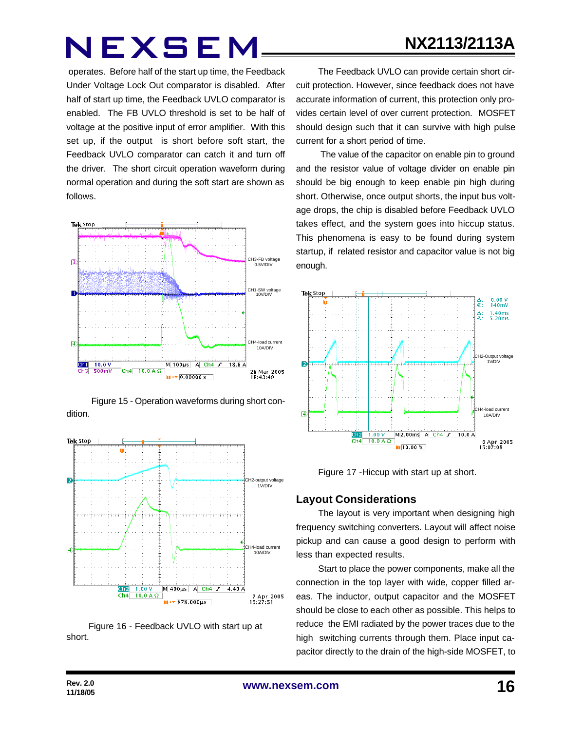### **NX2113/2113A**

## NEXSEM

operates. Before half of the start up time, the Feedback Under Voltage Lock Out comparator is disabled. After half of start up time, the Feedback UVLO comparator is enabled. The FB UVLO threshold is set to be half of voltage at the positive input of error amplifier. With this set up, if the output is short before soft start, the Feedback UVLO comparator can catch it and turn off the driver. The short circuit operation waveform during normal operation and during the soft start are shown as follows.



Figure 15 - Operation waveforms during short condition.



Figure 16 - Feedback UVLO with start up at short.

The Feedback UVLO can provide certain short circuit protection. However, since feedback does not have accurate information of current, this protection only provides certain level of over current protection. MOSFET should design such that it can survive with high pulse current for a short period of time.

 The value of the capacitor on enable pin to ground and the resistor value of voltage divider on enable pin should be big enough to keep enable pin high during short. Otherwise, once output shorts, the input bus voltage drops, the chip is disabled before Feedback UVLO takes effect, and the system goes into hiccup status. This phenomena is easy to be found during system startup, if related resistor and capacitor value is not big enough.



Figure 17 -Hiccup with start up at short.

#### **Layout Considerations**

The layout is very important when designing high frequency switching converters. Layout will affect noise pickup and can cause a good design to perform with less than expected results.

Start to place the power components, make all the connection in the top layer with wide, copper filled areas. The inductor, output capacitor and the MOSFET should be close to each other as possible. This helps to reduce the EMI radiated by the power traces due to the high switching currents through them. Place input capacitor directly to the drain of the high-side MOSFET, to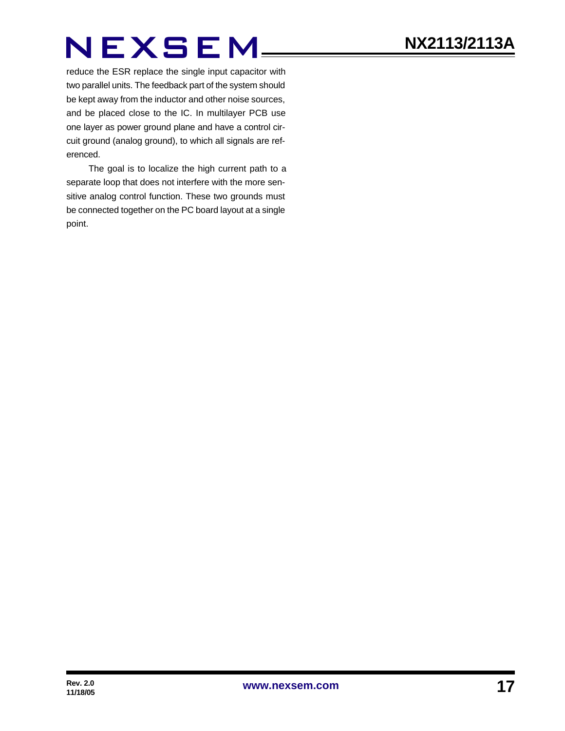reduce the ESR replace the single input capacitor with two parallel units. The feedback part of the system should be kept away from the inductor and other noise sources, and be placed close to the IC. In multilayer PCB use one layer as power ground plane and have a control circuit ground (analog ground), to which all signals are referenced.

The goal is to localize the high current path to a separate loop that does not interfere with the more sensitive analog control function. These two grounds must be connected together on the PC board layout at a single point.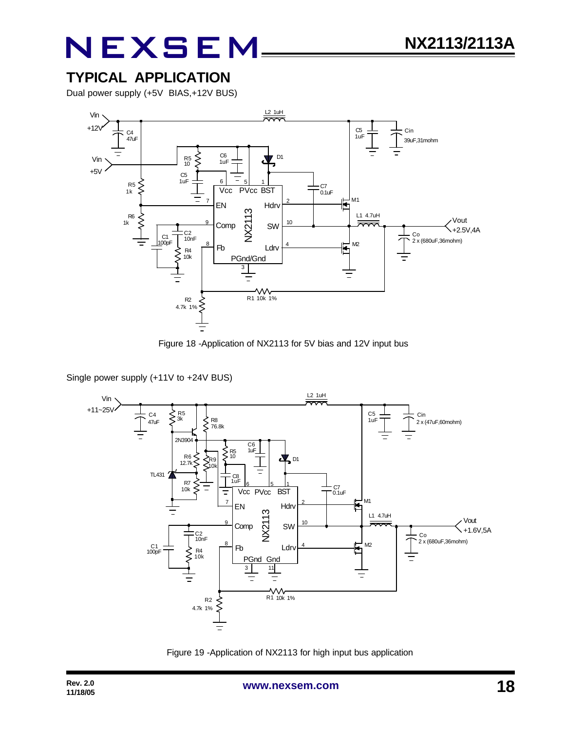### **TYPICAL APPLICATION**

Dual power supply (+5V BIAS,+12V BUS)



Figure 18 -Application of NX2113 for 5V bias and 12V input bus

Single power supply (+11V to +24V BUS)



Figure 19 -Application of NX2113 for high input bus application